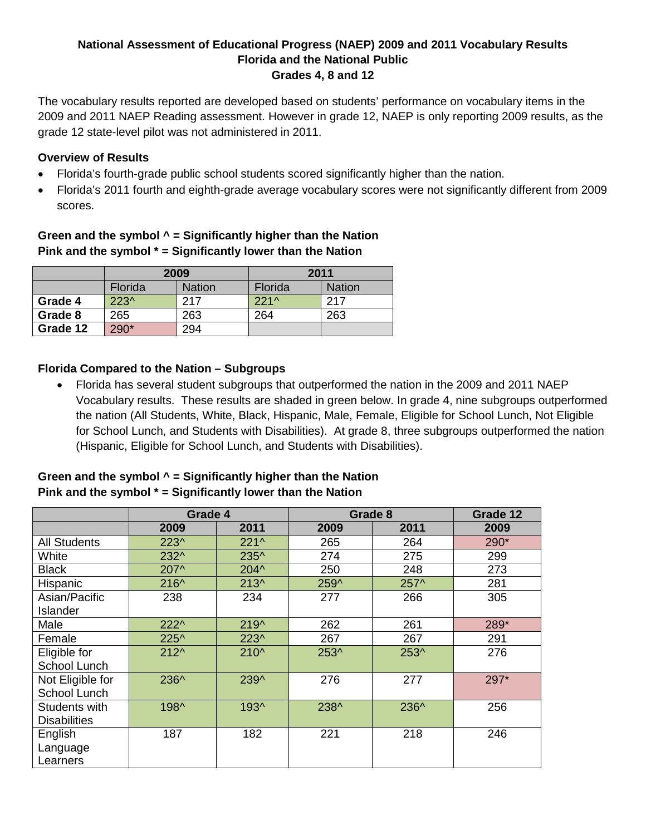### **National Assessment of Educational Progress (NAEP) 2009 and 2011 Vocabulary Results Florida and the National Public Grades 4, 8 and 12**

The vocabulary results reported are developed based on students' performance on vocabulary items in the 2009 and 2011 NAEP Reading assessment. However in grade 12, NAEP is only reporting 2009 results, as the grade 12 state-level pilot was not administered in 2011.

### **Overview of Results**

- Florida's fourth-grade public school students scored significantly higher than the nation.
- Florida's 2011 fourth and eighth-grade average vocabulary scores were not significantly different from 2009 scores.

# **Green and the symbol ^ = Significantly higher than the Nation Pink and the symbol \* = Significantly lower than the Nation**

|          | 2009           |               | 2011    |               |  |
|----------|----------------|---------------|---------|---------------|--|
|          | <b>Florida</b> | <b>Nation</b> | Florida | <b>Nation</b> |  |
| Grade 4  | $223^{\circ}$  | 217           | $221^$  | 217           |  |
| Grade 8  | 265            | 263           | 264     | 263           |  |
| Grade 12 | 290*           | 294           |         |               |  |

## **Florida Compared to the Nation – Subgroups**

• Florida has several student subgroups that outperformed the nation in the 2009 and 2011 NAEP Vocabulary results. These results are shaded in green below. In grade 4, nine subgroups outperformed the nation (All Students, White, Black, Hispanic, Male, Female, Eligible for School Lunch, Not Eligible for School Lunch, and Students with Disabilities). At grade 8, three subgroups outperformed the nation (Hispanic, Eligible for School Lunch, and Students with Disabilities).

### **Green and the symbol ^ = Significantly higher than the Nation Pink and the symbol \* = Significantly lower than the Nation**

|                     | Grade 4        |               | Grade 8 | Grade 12 |      |
|---------------------|----------------|---------------|---------|----------|------|
|                     | 2009           | 2011          | 2009    | 2011     | 2009 |
| <b>All Students</b> | $223^$         | $221^{\circ}$ | 265     | 264      | 290* |
| White               | 232^           | 235^          | 274     | 275      | 299  |
| <b>Black</b>        | 207^           | $204^{\circ}$ | 250     | 248      | 273  |
| Hispanic            | 216^           | $213^$        | 259^    | 257^     | 281  |
| Asian/Pacific       | 238            | 234           | 277     | 266      | 305  |
| Islander            |                |               |         |          |      |
| Male                | $222^{\wedge}$ | $219^$        | 262     | 261      | 289* |
| Female              | 225^           | $223^$        | 267     | 267      | 291  |
| Eligible for        | $212^$         | $210^{\circ}$ | 253^    | 253^     | 276  |
| School Lunch        |                |               |         |          |      |
| Not Eligible for    | 236^           | 239^          | 276     | 277      | 297* |
| School Lunch        |                |               |         |          |      |
| Students with       | 198^           | 193^          | 238^    | 236^     | 256  |
| <b>Disabilities</b> |                |               |         |          |      |
| English             | 187            | 182           | 221     | 218      | 246  |
| Language            |                |               |         |          |      |
| Learners            |                |               |         |          |      |